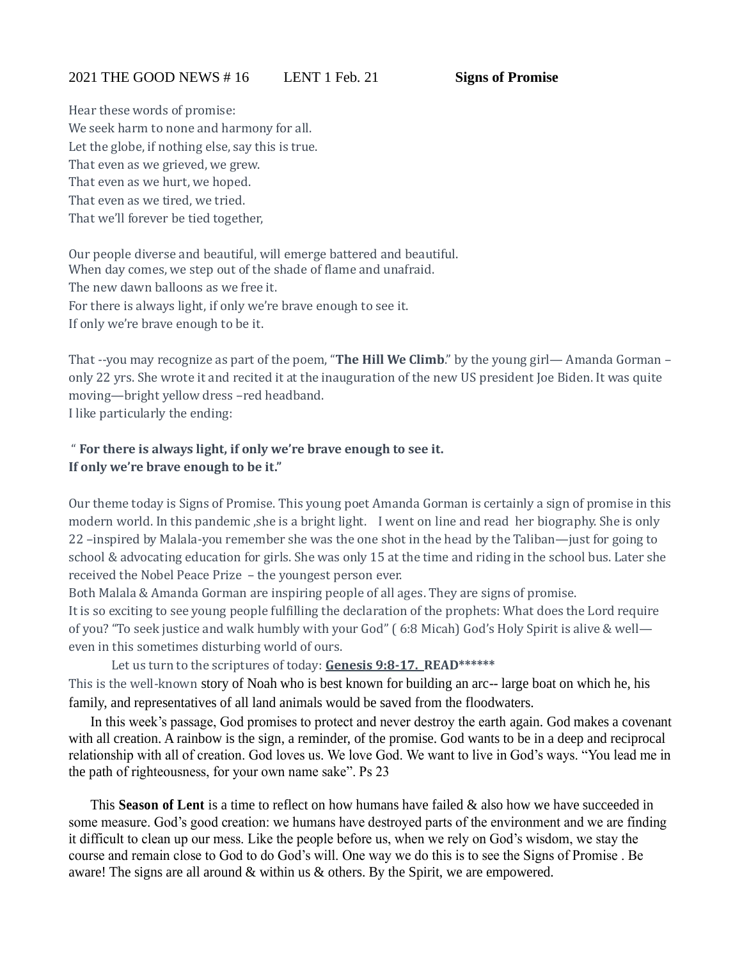Hear these words of promise: We seek harm to none and harmony for all. Let the globe, if nothing else, say this is true. That even as we grieved, we grew. That even as we hurt, we hoped. That even as we tired, we tried. That we'll forever be tied together,

Our people diverse and beautiful, will emerge battered and beautiful. When day comes, we step out of the shade of flame and unafraid. The new dawn balloons as we free it. For there is always light, if only we're brave enough to see it. If only we're brave enough to be it.

That --you may recognize as part of the poem, "**The Hill We Climb**." by the young girl— Amanda Gorman – only 22 yrs. She wrote it and recited it at the inauguration of the new US president Joe Biden. It was quite moving—bright yellow dress –red headband. I like particularly the ending:

## " **For there is always light, if only we're brave enough to see it. If only we're brave enough to be it."**

Our theme today is Signs of Promise. This young poet Amanda Gorman is certainly a sign of promise in this modern world. In this pandemic , she is a bright light. I went on line and read her biography. She is only 22 –inspired by Malala-you remember she was the one shot in the head by the Taliban—just for going to school & advocating education for girls. She was only 15 at the time and riding in the school bus. Later she received the Nobel Peace Prize – the youngest person ever.

Both Malala & Amanda Gorman are inspiring people of all ages. They are signs of promise. It is so exciting to see young people fulfilling the declaration of the prophets: What does the Lord require of you? "To seek justice and walk humbly with your God" ( 6:8 Micah) God's Holy Spirit is alive & well even in this sometimes disturbing world of ours.

Let us turn to the scriptures of today: **Genesis 9:8-17. READ\*\*\*\*\*\*** This is the well-known story of Noah who is best known for building an arc-- large boat on which he, his family, and representatives of all land animals would be saved from the floodwaters.

In this week's passage, God promises to protect and never destroy the earth again. God makes a covenant with all creation. A rainbow is the sign, a reminder, of the promise. God wants to be in a deep and reciprocal relationship with all of creation. God loves us. We love God. We want to live in God's ways. "You lead me in the path of righteousness, for your own name sake". Ps 23

This **Season of Lent** is a time to reflect on how humans have failed & also how we have succeeded in some measure. God's good creation: we humans have destroyed parts of the environment and we are finding it difficult to clean up our mess. Like the people before us, when we rely on God's wisdom, we stay the course and remain close to God to do God's will. One way we do this is to see the Signs of Promise . Be aware! The signs are all around & within us & others. By the Spirit, we are empowered.